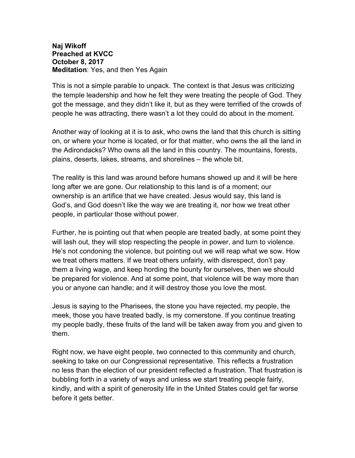## **Naj Wikoff Preached at KVCC October 8, 2017 Meditation**: Yes, and then Yes Again

This is not a simple parable to unpack. The context is that Jesus was criticizing the temple leadership and how he felt they were treating the people of God. They got the message, and they didn't like it, but as they were terrified of the crowds of people he was attracting, there wasn't a lot they could do about in the moment.

Another way of looking at it is to ask, who owns the land that this church is sitting on, or where your home is located, or for that matter, who owns the all the land in the Adirondacks? Who owns all the land in this country. The mountains, forests, plains, deserts, lakes, streams, and shorelines – the whole bit.

The reality is this land was around before humans showed up and it will be here long after we are gone. Our relationship to this land is of a moment; our ownership is an artifice that we have created. Jesus would say, this land is God's, and God doesn't like the way we are treating it, nor how we treat other people, in particular those without power.

Further, he is pointing out that when people are treated badly, at some point they will lash out, they will stop respecting the people in power, and turn to violence. He's not condoning the violence, but pointing out we will reap what we sow. How we treat others matters. If we treat others unfairly, with disrespect, don't pay them a living wage, and keep hording the bounty for ourselves, then we should be prepared for violence. And at some point, that violence will be way more than you or anyone can handle; and it will destroy those you love the most.

Jesus is saying to the Pharisees, the stone you have rejected, my people, the meek, those you have treated badly, is my cornerstone. If you continue treating my people badly, these fruits of the land will be taken away from you and given to them.

Right now, we have eight people, two connected to this community and church, seeking to take on our Congressional representative. This reflects a frustration no less than the election of our president reflected a frustration. That frustration is bubbling forth in a variety of ways and unless we start treating people fairly, kindly, and with a spirit of generosity life in the United States could get far worse before it gets better.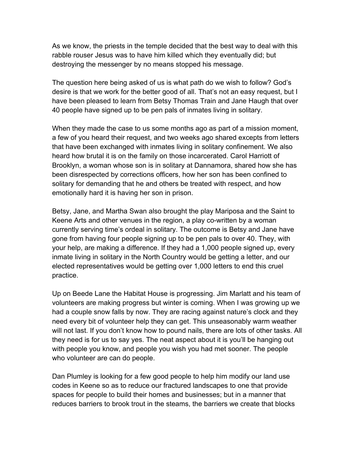As we know, the priests in the temple decided that the best way to deal with this rabble rouser Jesus was to have him killed which they eventually did; but destroying the messenger by no means stopped his message.

The question here being asked of us is what path do we wish to follow? God's desire is that we work for the better good of all. That's not an easy request, but I have been pleased to learn from Betsy Thomas Train and Jane Haugh that over 40 people have signed up to be pen pals of inmates living in solitary.

When they made the case to us some months ago as part of a mission moment, a few of you heard their request, and two weeks ago shared excepts from letters that have been exchanged with inmates living in solitary confinement. We also heard how brutal it is on the family on those incarcerated. Carol Harriott of Brooklyn, a woman whose son is in solitary at Dannamora, shared how she has been disrespected by corrections officers, how her son has been confined to solitary for demanding that he and others be treated with respect, and how emotionally hard it is having her son in prison.

Betsy, Jane, and Martha Swan also brought the play Mariposa and the Saint to Keene Arts and other venues in the region, a play co-written by a woman currently serving time's ordeal in solitary. The outcome is Betsy and Jane have gone from having four people signing up to be pen pals to over 40. They, with your help, are making a difference. If they had a 1,000 people signed up, every inmate living in solitary in the North Country would be getting a letter, and our elected representatives would be getting over 1,000 letters to end this cruel practice.

Up on Beede Lane the Habitat House is progressing. Jim Marlatt and his team of volunteers are making progress but winter is coming. When I was growing up we had a couple snow falls by now. They are racing against nature's clock and they need every bit of volunteer help they can get. This unseasonably warm weather will not last. If you don't know how to pound nails, there are lots of other tasks. All they need is for us to say yes. The neat aspect about it is you'll be hanging out with people you know, and people you wish you had met sooner. The people who volunteer are can do people.

Dan Plumley is looking for a few good people to help him modify our land use codes in Keene so as to reduce our fractured landscapes to one that provide spaces for people to build their homes and businesses; but in a manner that reduces barriers to brook trout in the steams, the barriers we create that blocks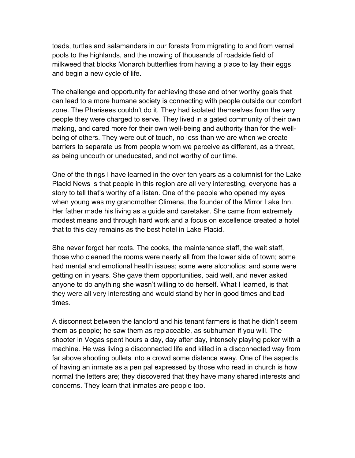toads, turtles and salamanders in our forests from migrating to and from vernal pools to the highlands, and the mowing of thousands of roadside field of milkweed that blocks Monarch butterflies from having a place to lay their eggs and begin a new cycle of life.

The challenge and opportunity for achieving these and other worthy goals that can lead to a more humane society is connecting with people outside our comfort zone. The Pharisees couldn't do it. They had isolated themselves from the very people they were charged to serve. They lived in a gated community of their own making, and cared more for their own well-being and authority than for the wellbeing of others. They were out of touch, no less than we are when we create barriers to separate us from people whom we perceive as different, as a threat, as being uncouth or uneducated, and not worthy of our time.

One of the things I have learned in the over ten years as a columnist for the Lake Placid News is that people in this region are all very interesting, everyone has a story to tell that's worthy of a listen. One of the people who opened my eyes when young was my grandmother Climena, the founder of the Mirror Lake Inn. Her father made his living as a guide and caretaker. She came from extremely modest means and through hard work and a focus on excellence created a hotel that to this day remains as the best hotel in Lake Placid.

She never forgot her roots. The cooks, the maintenance staff, the wait staff, those who cleaned the rooms were nearly all from the lower side of town; some had mental and emotional health issues; some were alcoholics; and some were getting on in years. She gave them opportunities, paid well, and never asked anyone to do anything she wasn't willing to do herself. What I learned, is that they were all very interesting and would stand by her in good times and bad times.

A disconnect between the landlord and his tenant farmers is that he didn't seem them as people; he saw them as replaceable, as subhuman if you will. The shooter in Vegas spent hours a day, day after day, intensely playing poker with a machine. He was living a disconnected life and killed in a disconnected way from far above shooting bullets into a crowd some distance away. One of the aspects of having an inmate as a pen pal expressed by those who read in church is how normal the letters are; they discovered that they have many shared interests and concerns. They learn that inmates are people too.